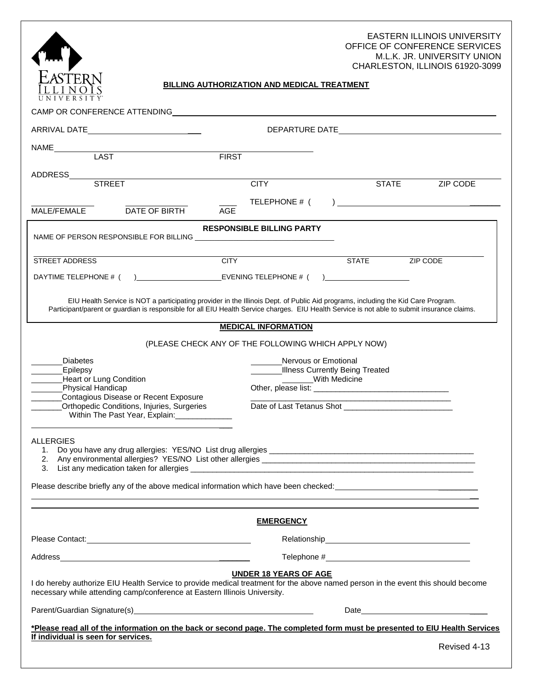



# **BILLING AUTHORIZATION AND MEDICAL TREATMENT**

| CAMP OR CONFERENCE ATTENDING THE RESERVE AND RESERVE THE RESERVE AND RESERVE THE RESERVE THAT AND RESERVE THE RESERVE THAT A STATE OF THE RESERVE THAT A STATE OF THE RESERVE THAT A STATE OF THE RESERVE THAT A STATE OF THE                                                    |                                                                          |                                                                                                                                                                                                                                |  |  |  |  |
|----------------------------------------------------------------------------------------------------------------------------------------------------------------------------------------------------------------------------------------------------------------------------------|--------------------------------------------------------------------------|--------------------------------------------------------------------------------------------------------------------------------------------------------------------------------------------------------------------------------|--|--|--|--|
| ARRIVAL DATE______________________________                                                                                                                                                                                                                                       |                                                                          |                                                                                                                                                                                                                                |  |  |  |  |
| NAME <b>LAST</b>                                                                                                                                                                                                                                                                 |                                                                          |                                                                                                                                                                                                                                |  |  |  |  |
|                                                                                                                                                                                                                                                                                  | <b>FIRST</b>                                                             |                                                                                                                                                                                                                                |  |  |  |  |
|                                                                                                                                                                                                                                                                                  |                                                                          |                                                                                                                                                                                                                                |  |  |  |  |
|                                                                                                                                                                                                                                                                                  | <b>CITY</b>                                                              | <b>STATE</b><br>ZIP CODE                                                                                                                                                                                                       |  |  |  |  |
| DATE OF BIRTH<br>MALE/FEMALE                                                                                                                                                                                                                                                     | TELEPHONE # (<br>AGE                                                     | ) and the contract of the contract of $\mathcal{L}$                                                                                                                                                                            |  |  |  |  |
| <b>RESPONSIBLE BILLING PARTY</b>                                                                                                                                                                                                                                                 |                                                                          |                                                                                                                                                                                                                                |  |  |  |  |
| STREET ADDRESS                                                                                                                                                                                                                                                                   | <b>CITY</b>                                                              | <b>STATE</b><br>ZIP CODE                                                                                                                                                                                                       |  |  |  |  |
| DAYTIME TELEPHONE # ( ) EVENING TELEPHONE # (                                                                                                                                                                                                                                    |                                                                          | $\overline{a}$                                                                                                                                                                                                                 |  |  |  |  |
| EIU Health Service is NOT a participating provider in the Illinois Dept. of Public Aid programs, including the Kid Care Program.<br>Participant/parent or guardian is responsible for all EIU Health Service charges. EIU Health Service is not able to submit insurance claims. |                                                                          |                                                                                                                                                                                                                                |  |  |  |  |
|                                                                                                                                                                                                                                                                                  | <b>MEDICAL INFORMATION</b>                                               |                                                                                                                                                                                                                                |  |  |  |  |
|                                                                                                                                                                                                                                                                                  | (PLEASE CHECK ANY OF THE FOLLOWING WHICH APPLY NOW)                      |                                                                                                                                                                                                                                |  |  |  |  |
| <b>Diabetes</b><br>Epilepsy<br><b>Heart or Lung Condition</b><br>Physical Handicap<br>Contagious Disease or Recent Exposure<br><b>Orthopedic Conditions, Injuries, Surgeries</b><br>Within The Past Year, Explain: ______________                                                | Nervous or Emotional<br>Illness Currently Being Treated<br>With Medicine |                                                                                                                                                                                                                                |  |  |  |  |
| ALLERGIES<br>1.<br>Please describe briefly any of the above medical information which have been checked: ________________________                                                                                                                                                |                                                                          |                                                                                                                                                                                                                                |  |  |  |  |
| <b>EMERGENCY</b>                                                                                                                                                                                                                                                                 |                                                                          |                                                                                                                                                                                                                                |  |  |  |  |
|                                                                                                                                                                                                                                                                                  |                                                                          |                                                                                                                                                                                                                                |  |  |  |  |
|                                                                                                                                                                                                                                                                                  |                                                                          |                                                                                                                                                                                                                                |  |  |  |  |
| <b>UNDER 18 YEARS OF AGE</b><br>I do hereby authorize EIU Health Service to provide medical treatment for the above named person in the event this should become<br>necessary while attending camp/conference at Eastern Illinois University.                                    |                                                                          |                                                                                                                                                                                                                                |  |  |  |  |
|                                                                                                                                                                                                                                                                                  |                                                                          | Date and the contract of the contract of the contract of the contract of the contract of the contract of the contract of the contract of the contract of the contract of the contract of the contract of the contract of the c |  |  |  |  |
| *Please read all of the information on the back or second page. The completed form must be presented to EIU Health Services<br>If individual is seen for services.<br>Revised 4-13                                                                                               |                                                                          |                                                                                                                                                                                                                                |  |  |  |  |